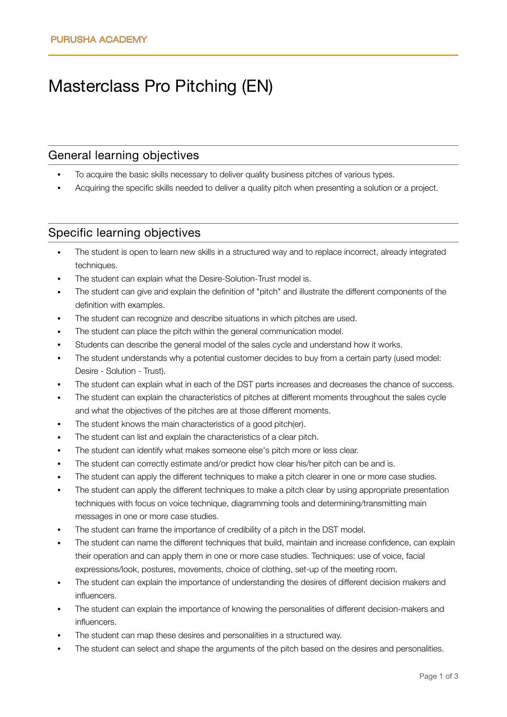# Masterclass Pro Pitching (EN)

#### General learning objectives

- To acquire the basic skills necessary to deliver quality business pitches of various types.
- Acquiring the specific skills needed to deliver a quality pitch when presenting a solution or a project.

## Specific learning objectives

- The student is open to learn new skills in a structured way and to replace incorrect, already integrated techniques.
- The student can explain what the Desire-Solution-Trust model is.
- The student can give and explain the definition of "pitch" and illustrate the different components of the definition with examples.
- The student can recognize and describe situations in which pitches are used.
- The student can place the pitch within the general communication model.
- Students can describe the general model of the sales cycle and understand how it works.
- The student understands why a potential customer decides to buy from a certain party (used model: Desire - Solution - Trust).
- The student can explain what in each of the DST parts increases and decreases the chance of success.
- The student can explain the characteristics of pitches at different moments throughout the sales cycle and what the objectives of the pitches are at those different moments.
- The student knows the main characteristics of a good pitch(er).
- The student can list and explain the characteristics of a clear pitch.
- The student can identify what makes someone else's pitch more or less clear.
- The student can correctly estimate and/or predict how clear his/her pitch can be and is.
- The student can apply the different techniques to make a pitch clearer in one or more case studies.
- The student can apply the different techniques to make a pitch clear by using appropriate presentation techniques with focus on voice technique, diagramming tools and determining/transmitting main messages in one or more case studies.
- The student can frame the importance of credibility of a pitch in the DST model.
- The student can name the different techniques that build, maintain and increase confidence, can explain their operation and can apply them in one or more case studies. Techniques: use of voice, facial expressions/look, postures, movements, choice of clothing, set-up of the meeting room.
- The student can explain the importance of understanding the desires of different decision makers and influencers.
- The student can explain the importance of knowing the personalities of different decision-makers and influencers.
- The student can map these desires and personalities in a structured way.
- The student can select and shape the arguments of the pitch based on the desires and personalities.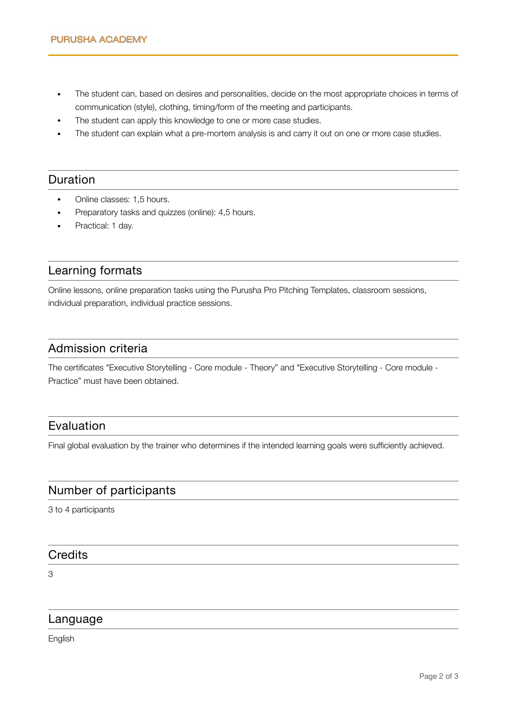- The student can, based on desires and personalities, decide on the most appropriate choices in terms of communication (style), clothing, timing/form of the meeting and participants.
- The student can apply this knowledge to one or more case studies.
- The student can explain what a pre-mortem analysis is and carry it out on one or more case studies.

## Duration

- Online classes: 1,5 hours.
- Preparatory tasks and quizzes (online): 4,5 hours.
- Practical: 1 day.

## Learning formats

Online lessons, online preparation tasks using the Purusha Pro Pitching Templates, classroom sessions, individual preparation, individual practice sessions.

#### Admission criteria

The certificates "Executive Storytelling - Core module - Theory" and "Executive Storytelling - Core module - Practice" must have been obtained.

## Evaluation

Final global evaluation by the trainer who determines if the intended learning goals were sufficiently achieved.

## Number of participants

3 to 4 participants

### **Credits**

3

## Language

English